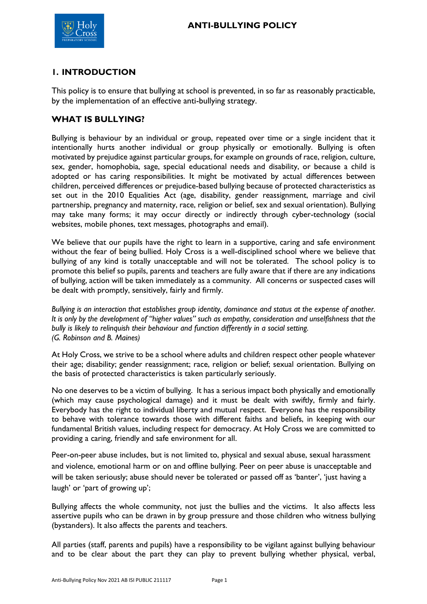

# **1. INTRODUCTION**

This policy is to ensure that bullying at school is prevented, in so far as reasonably practicable, by the implementation of an effective anti-bullying strategy.

### **WHAT IS BULLYING?**

Bullying is behaviour by an individual or group, repeated over time or a single incident that it intentionally hurts another individual or group physically or emotionally. Bullying is often motivated by prejudice against particular groups, for example on grounds of race, religion, culture, sex, gender, homophobia, sage, special educational needs and disability, or because a child is adopted or has caring responsibilities. It might be motivated by actual differences between children, perceived differences or prejudice-based bullying because of protected characteristics as set out in the 2010 Equalities Act (age, disability, gender reassignment, marriage and civil partnership, pregnancy and maternity, race, religion or belief, sex and sexual orientation). Bullying may take many forms; it may occur directly or indirectly through cyber-technology (social websites, mobile phones, text messages, photographs and email).

We believe that our pupils have the right to learn in a supportive, caring and safe environment without the fear of being bullied. Holy Cross is a well-disciplined school where we believe that bullying of any kind is totally unacceptable and will not be tolerated. The school policy is to promote this belief so pupils, parents and teachers are fully aware that if there are any indications of bullying, action will be taken immediately as a community. All concerns or suspected cases will be dealt with promptly, sensitively, fairly and firmly.

*Bullying is an interaction that establishes group identity, dominance and status at the expense of another. It is only by the development of "higher values" such as empathy, consideration and unselfishness that the bully is likely to relinquish their behaviour and function differently in a social setting. (G. Robinson and B. Maines)*

At Holy Cross, we strive to be a school where adults and children respect other people whatever their age; disability; gender reassignment; race, religion or belief; sexual orientation. Bullying on the basis of protected characteristics is taken particularly seriously.

No one deserves to be a victim of bullying. It has a serious impact both physically and emotionally (which may cause psychological damage) and it must be dealt with swiftly, firmly and fairly. Everybody has the right to individual liberty and mutual respect. Everyone has the responsibility to behave with tolerance towards those with different faiths and beliefs, in keeping with our fundamental British values, including respect for democracy. At Holy Cross we are committed to providing a caring, friendly and safe environment for all.

Peer-on-peer abuse includes, but is not limited to, physical and sexual abuse, sexual harassment and violence, emotional harm or on and offline bullying. Peer on peer abuse is unacceptable and will be taken seriously; abuse should never be tolerated or passed off as 'banter', 'just having a laugh' or 'part of growing up';

Bullying affects the whole community, not just the bullies and the victims. It also affects less assertive pupils who can be drawn in by group pressure and those children who witness bullying (bystanders). It also affects the parents and teachers.

All parties (staff, parents and pupils) have a responsibility to be vigilant against bullying behaviour and to be clear about the part they can play to prevent bullying whether physical, verbal,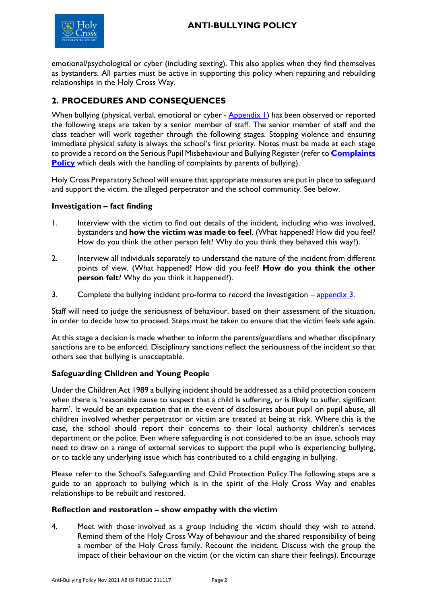

emotional/psychological or cyber (including sexting). This also applies when they find themselves as bystanders. All parties must be active in supporting this policy when repairing and rebuilding relationships in the Holy Cross Way.

# **2. PROCEDURES AND CONSEQUENCES**

When bullying (physical, verbal, emotional or cyber - [Appendix 1\)](#page-5-0) has been observed or reported the following steps are taken by a senior member of staff. The senior member of staff and the class teacher will work together through the following stages. Stopping violence and ensuring immediate physical safety is always the school's first priority. Notes must be made at each stage to provide a record on the Serious Pupil Misbehaviour and Bullying Register (refer to **[Complaints](file://///HCNET.AD/HCP/Share_Policies/Complaints%20Policy%20including%20EYFS.pdf)  [Policy](file://///HCNET.AD/HCP/Share_Policies/Complaints%20Policy%20including%20EYFS.pdf)** which deals with the handling of complaints by parents of bullying).

Holy Cross Preparatory School will ensure that appropriate measures are put in place to safeguard and support the victim, the alleged perpetrator and the school community. See below.

### **Investigation – fact finding**

- 1. Interview with the victim to find out details of the incident, including who was involved, bystanders and **how the victim was made to feel**. (What happened? How did you feel? How do you think the other person felt? Why do you think they behaved this way?).
- 2. Interview all individuals separately to understand the nature of the incident from different points of view. (What happened? How did you feel? **How do you think the other person felt**? Why do you think it happened?).
- 3. Complete the bullying incident pro-forma to record the investigation [appendix 3.](#page-8-0)

Staff will need to judge the seriousness of behaviour, based on their assessment of the situation, in order to decide how to proceed. Steps must be taken to ensure that the victim feels safe again.

At this stage a decision is made whether to inform the parents/guardians and whether disciplinary sanctions are to be enforced. Disciplinary sanctions reflect the seriousness of the incident so that others see that bullying is unacceptable.

### **Safeguarding Children and Young People**

Under the Children Act 1989 a bullying incident should be addressed as a child protection concern when there is 'reasonable cause to suspect that a child is suffering, or is likely to suffer, significant harm'. It would be an expectation that in the event of disclosures about pupil on pupil abuse, all children involved whether perpetrator or victim are treated at being at risk. Where this is the case, the school should report their concerns to their local authority children's services department or the police. Even where safeguarding is not considered to be an issue, schools may need to draw on a range of external services to support the pupil who is experiencing bullying, or to tackle any underlying issue which has contributed to a child engaging in bullying.

Please refer to the School's Safeguarding and Child Protection Policy.The following steps are a guide to an approach to bullying which is in the spirit of the Holy Cross Way and enables relationships to be rebuilt and restored.

#### **Reflection and restoration – show empathy with the victim**

4. Meet with those involved as a group including the victim should they wish to attend. Remind them of the Holy Cross Way of behaviour and the shared responsibility of being a member of the Holy Cross family. Recount the incident. Discuss with the group the impact of their behaviour on the victim (or the victim can share their feelings). Encourage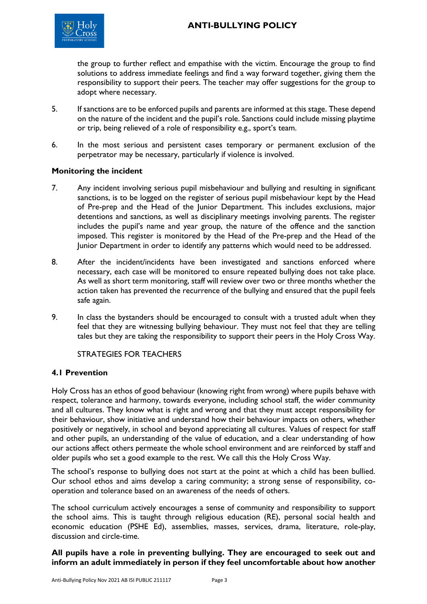

the group to further reflect and empathise with the victim. Encourage the group to find solutions to address immediate feelings and find a way forward together, giving them the responsibility to support their peers. The teacher may offer suggestions for the group to adopt where necessary.

- 5. If sanctions are to be enforced pupils and parents are informed at this stage. These depend on the nature of the incident and the pupil's role. Sanctions could include missing playtime or trip, being relieved of a role of responsibility e.g., sport's team.
- 6. In the most serious and persistent cases temporary or permanent exclusion of the perpetrator may be necessary, particularly if violence is involved.

#### **Monitoring the incident**

- 7. Any incident involving serious pupil misbehaviour and bullying and resulting in significant sanctions, is to be logged on the register of serious pupil misbehaviour kept by the Head of Pre-prep and the Head of the Junior Department. This includes exclusions, major detentions and sanctions, as well as disciplinary meetings involving parents. The register includes the pupil's name and year group, the nature of the offence and the sanction imposed. This register is monitored by the Head of the Pre-prep and the Head of the Junior Department in order to identify any patterns which would need to be addressed.
- 8. After the incident/incidents have been investigated and sanctions enforced where necessary, each case will be monitored to ensure repeated bullying does not take place. As well as short term monitoring, staff will review over two or three months whether the action taken has prevented the recurrence of the bullying and ensured that the pupil feels safe again.
- 9. In class the bystanders should be encouraged to consult with a trusted adult when they feel that they are witnessing bullying behaviour. They must not feel that they are telling tales but they are taking the responsibility to support their peers in the Holy Cross Way.

#### STRATEGIES FOR TEACHERS

#### **4.1 Prevention**

Holy Cross has an ethos of good behaviour (knowing right from wrong) where pupils behave with respect, tolerance and harmony, towards everyone, including school staff, the wider community and all cultures. They know what is right and wrong and that they must accept responsibility for their behaviour, show initiative and understand how their behaviour impacts on others, whether positively or negatively, in school and beyond appreciating all cultures. Values of respect for staff and other pupils, an understanding of the value of education, and a clear understanding of how our actions affect others permeate the whole school environment and are reinforced by staff and older pupils who set a good example to the rest. We call this the Holy Cross Way.

The school's response to bullying does not start at the point at which a child has been bullied. Our school ethos and aims develop a caring community; a strong sense of responsibility, cooperation and tolerance based on an awareness of the needs of others.

The school curriculum actively encourages a sense of community and responsibility to support the school aims. This is taught through religious education (RE), personal social health and economic education (PSHE Ed), assemblies, masses, services, drama, literature, role-play, discussion and circle-time.

### **All pupils have a role in preventing bullying. They are encouraged to seek out and inform an adult immediately in person if they feel uncomfortable about how another**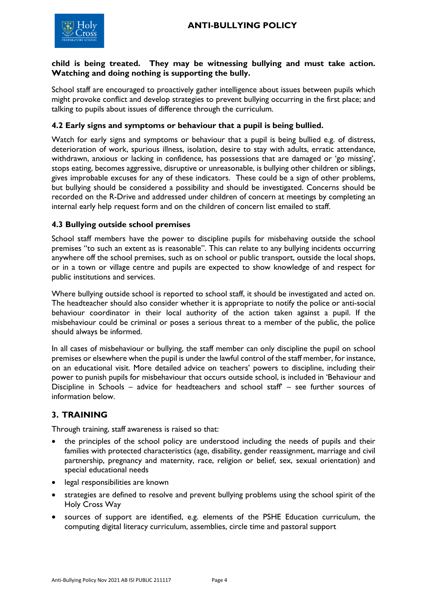

#### **child is being treated. They may be witnessing bullying and must take action. Watching and doing nothing is supporting the bully.**

School staff are encouraged to proactively gather intelligence about issues between pupils which might provoke conflict and develop strategies to prevent bullying occurring in the first place; and talking to pupils about issues of difference through the curriculum.

### **4.2 Early signs and symptoms or behaviour that a pupil is being bullied.**

Watch for early signs and symptoms or behaviour that a pupil is being bullied e.g. of distress, deterioration of work, spurious illness, isolation, desire to stay with adults, erratic attendance, withdrawn, anxious or lacking in confidence, has possessions that are damaged or 'go missing', stops eating, becomes aggressive, disruptive or unreasonable, is bullying other children or siblings, gives improbable excuses for any of these indicators. These could be a sign of other problems, but bullying should be considered a possibility and should be investigated. Concerns should be recorded on the R-Drive and addressed under children of concern at meetings by completing an internal early help request form and on the children of concern list emailed to staff.

### **4.3 Bullying outside school premises**

School staff members have the power to discipline pupils for misbehaving outside the school premises "to such an extent as is reasonable". This can relate to any bullying incidents occurring anywhere off the school premises, such as on school or public transport, outside the local shops, or in a town or village centre and pupils are expected to show knowledge of and respect for public institutions and services.

Where bullying outside school is reported to school staff, it should be investigated and acted on. The headteacher should also consider whether it is appropriate to notify the police or anti-social behaviour coordinator in their local authority of the action taken against a pupil. If the misbehaviour could be criminal or poses a serious threat to a member of the public, the police should always be informed.

In all cases of misbehaviour or bullying, the staff member can only discipline the pupil on school premises or elsewhere when the pupil is under the lawful control of the staff member, for instance, on an educational visit. More detailed advice on teachers' powers to discipline, including their power to punish pupils for misbehaviour that occurs outside school, is included in 'Behaviour and Discipline in Schools – advice for headteachers and school staff' – see further sources of information below.

### **3. TRAINING**

Through training, staff awareness is raised so that:

- the principles of the school policy are understood including the needs of pupils and their families with protected characteristics (age, disability, gender reassignment, marriage and civil partnership, pregnancy and maternity, race, religion or belief, sex, sexual orientation) and special educational needs
- legal responsibilities are known
- strategies are defined to resolve and prevent bullying problems using the school spirit of the Holy Cross Way
- sources of support are identified, e.g. elements of the PSHE Education curriculum, the computing digital literacy curriculum, assemblies, circle time and pastoral support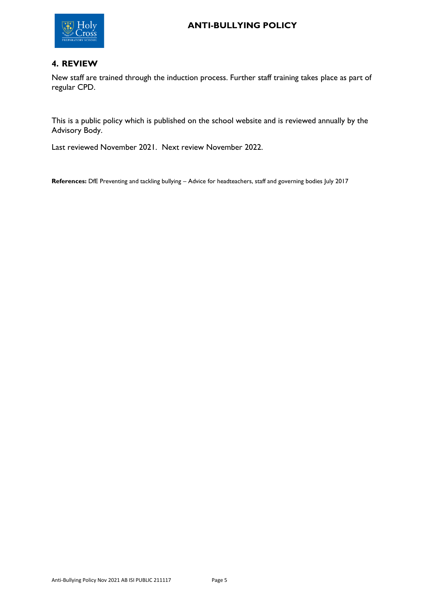

## **4. REVIEW**

New staff are trained through the induction process. Further staff training takes place as part of regular CPD.

This is a public policy which is published on the school website and is reviewed annually by the Advisory Body.

Last reviewed November 2021. Next review November 2022.

**References:** DfE Preventing and tackling bullying – Advice for headteachers, staff and governing bodies July 2017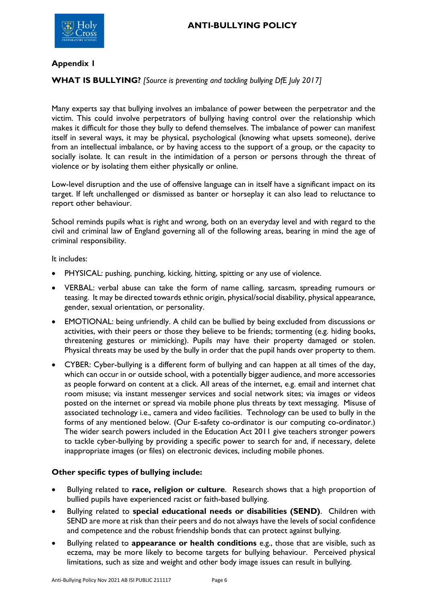

### <span id="page-5-0"></span>**Appendix 1**

### **WHAT IS BULLYING?** *[Source is preventing and tackling bullying DfE July 2017]*

Many experts say that bullying involves an imbalance of power between the perpetrator and the victim. This could involve perpetrators of bullying having control over the relationship which makes it difficult for those they bully to defend themselves. The imbalance of power can manifest itself in several ways, it may be physical, psychological (knowing what upsets someone), derive from an intellectual imbalance, or by having access to the support of a group, or the capacity to socially isolate. It can result in the intimidation of a person or persons through the threat of violence or by isolating them either physically or online.

Low-level disruption and the use of offensive language can in itself have a significant impact on its target. If left unchallenged or dismissed as banter or horseplay it can also lead to reluctance to report other behaviour.

School reminds pupils what is right and wrong, both on an everyday level and with regard to the civil and criminal law of England governing all of the following areas, bearing in mind the age of criminal responsibility.

It includes:

- PHYSICAL: pushing, punching, kicking, hitting, spitting or any use of violence.
- VERBAL: verbal abuse can take the form of name calling, sarcasm, spreading rumours or teasing. It may be directed towards ethnic origin, physical/social disability, physical appearance, gender, sexual orientation, or personality.
- EMOTIONAL: being unfriendly. A child can be bullied by being excluded from discussions or activities, with their peers or those they believe to be friends; tormenting (e.g. hiding books, threatening gestures or mimicking). Pupils may have their property damaged or stolen. Physical threats may be used by the bully in order that the pupil hands over property to them.
- CYBER: Cyber-bullying is a different form of bullying and can happen at all times of the day, which can occur in or outside school, with a potentially bigger audience, and more accessories as people forward on content at a click. All areas of the internet, e.g. email and internet chat room misuse; via instant messenger services and social network sites; via images or videos posted on the internet or spread via mobile phone plus threats by text messaging. Misuse of associated technology i.e., camera and video facilities. Technology can be used to bully in the forms of any mentioned below. (Our E-safety co-ordinator is our computing co-ordinator.) The wider search powers included in the Education Act 2011 give teachers stronger powers to tackle cyber-bullying by providing a specific power to search for and, if necessary, delete inappropriate images (or files) on electronic devices, including mobile phones.

#### **Other specific types of bullying include:**

- Bullying related to **race, religion or culture**. Research shows that a high proportion of bullied pupils have experienced racist or faith-based bullying.
- Bullying related to **special educational needs or disabilities (SEND)**. Children with SEND are more at risk than their peers and do not always have the levels of social confidence and competence and the robust friendship bonds that can protect against bullying.
- Bullying related to **appearance or health conditions** e.g., those that are visible, such as eczema, may be more likely to become targets for bullying behaviour. Perceived physical limitations, such as size and weight and other body image issues can result in bullying.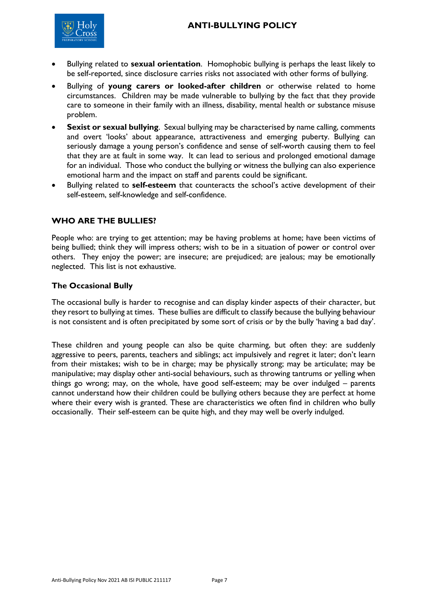

- Bullying related to **sexual orientation**. Homophobic bullying is perhaps the least likely to be self-reported, since disclosure carries risks not associated with other forms of bullying.
- Bullying of **young carers or looked-after children** or otherwise related to home circumstances. Children may be made vulnerable to bullying by the fact that they provide care to someone in their family with an illness, disability, mental health or substance misuse problem.
- **Sexist or sexual bullying**. Sexual bullying may be characterised by name calling, comments and overt 'looks' about appearance, attractiveness and emerging puberty. Bullying can seriously damage a young person's confidence and sense of self-worth causing them to feel that they are at fault in some way. It can lead to serious and prolonged emotional damage for an individual. Those who conduct the bullying or witness the bullying can also experience emotional harm and the impact on staff and parents could be significant.
- Bullying related to **self-esteem** that counteracts the school's active development of their self-esteem, self-knowledge and self-confidence.

### **WHO ARE THE BULLIES?**

People who: are trying to get attention; may be having problems at home; have been victims of being bullied; think they will impress others; wish to be in a situation of power or control over others. They enjoy the power; are insecure; are prejudiced; are jealous; may be emotionally neglected. This list is not exhaustive.

#### **The Occasional Bully**

The occasional bully is harder to recognise and can display kinder aspects of their character, but they resort to bullying at times. These bullies are difficult to classify because the bullying behaviour is not consistent and is often precipitated by some sort of crisis or by the bully 'having a bad day'.

These children and young people can also be quite charming, but often they: are suddenly aggressive to peers, parents, teachers and siblings; act impulsively and regret it later; don't learn from their mistakes; wish to be in charge; may be physically strong; may be articulate; may be manipulative; may display other anti-social behaviours, such as throwing tantrums or yelling when things go wrong; may, on the whole, have good self-esteem; may be over indulged – parents cannot understand how their children could be bullying others because they are perfect at home where their every wish is granted. These are characteristics we often find in children who bully occasionally. Their self-esteem can be quite high, and they may well be overly indulged.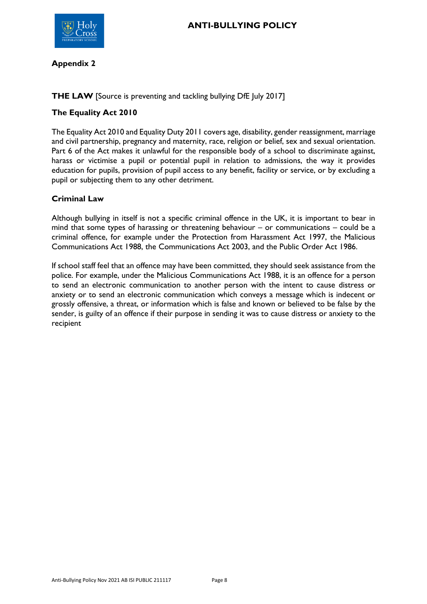

### **Appendix 2**

### **THE LAW** [Source is preventing and tackling bullying DfE July 2017]

### **The Equality Act 2010**

The Equality Act 2010 and Equality Duty 2011 covers age, disability, gender reassignment, marriage and civil partnership, pregnancy and maternity, race, religion or belief, sex and sexual orientation. Part 6 of the Act makes it unlawful for the responsible body of a school to discriminate against, harass or victimise a pupil or potential pupil in relation to admissions, the way it provides education for pupils, provision of pupil access to any benefit, facility or service, or by excluding a pupil or subjecting them to any other detriment.

### **Criminal Law**

Although bullying in itself is not a specific criminal offence in the UK, it is important to bear in mind that some types of harassing or threatening behaviour – or communications – could be a criminal offence, for example under the Protection from Harassment Act 1997, the Malicious Communications Act 1988, the Communications Act 2003, and the Public Order Act 1986.

If school staff feel that an offence may have been committed, they should seek assistance from the police. For example, under the Malicious Communications Act 1988, it is an offence for a person to send an electronic communication to another person with the intent to cause distress or anxiety or to send an electronic communication which conveys a message which is indecent or grossly offensive, a threat, or information which is false and known or believed to be false by the sender, is guilty of an offence if their purpose in sending it was to cause distress or anxiety to the recipient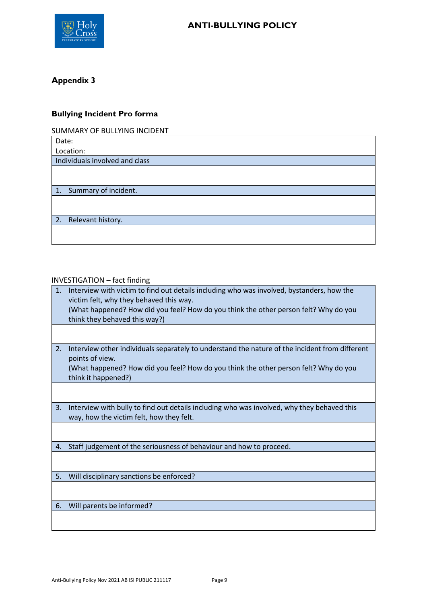

# <span id="page-8-0"></span>**Appendix 3**

# **Bullying Incident Pro forma**

SUMMARY OF BULLYING INCIDENT

| Date:                          |  |  |
|--------------------------------|--|--|
| Location:                      |  |  |
| Individuals involved and class |  |  |
|                                |  |  |
|                                |  |  |
| 1. Summary of incident.        |  |  |
|                                |  |  |
|                                |  |  |
| 2. Relevant history.           |  |  |
|                                |  |  |

### INVESTIGATION – fact finding

| 1. | Interview with victim to find out details including who was involved, bystanders, how the<br>victim felt, why they behaved this way.<br>(What happened? How did you feel? How do you think the other person felt? Why do you<br>think they behaved this way?) |
|----|---------------------------------------------------------------------------------------------------------------------------------------------------------------------------------------------------------------------------------------------------------------|
|    |                                                                                                                                                                                                                                                               |
| 2. | Interview other individuals separately to understand the nature of the incident from different<br>points of view.<br>(What happened? How did you feel? How do you think the other person felt? Why do you<br>think it happened?)                              |
|    |                                                                                                                                                                                                                                                               |
| 3. | Interview with bully to find out details including who was involved, why they behaved this<br>way, how the victim felt, how they felt.                                                                                                                        |
|    |                                                                                                                                                                                                                                                               |
| 4. | Staff judgement of the seriousness of behaviour and how to proceed.                                                                                                                                                                                           |
|    |                                                                                                                                                                                                                                                               |
| 5. | Will disciplinary sanctions be enforced?                                                                                                                                                                                                                      |
|    |                                                                                                                                                                                                                                                               |
| 6. | Will parents be informed?                                                                                                                                                                                                                                     |
|    |                                                                                                                                                                                                                                                               |